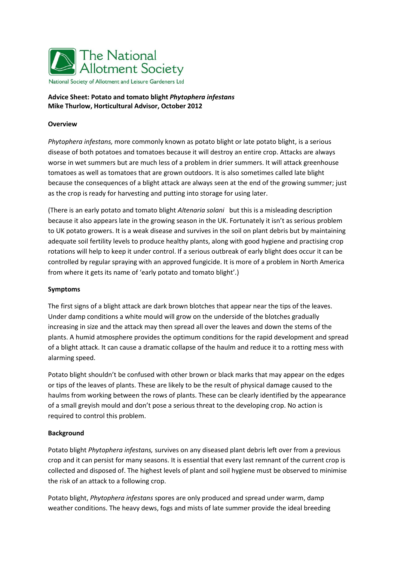

### **Advice Sheet: Potato and tomato blight** *Phytophera infestans* **Mike Thurlow, Horticultural Advisor, October 2012**

### **Overview**

*Phytophera infestans,* more commonly known as potato blight or late potato blight, is a serious disease of both potatoes and tomatoes because it will destroy an entire crop. Attacks are always worse in wet summers but are much less of a problem in drier summers. It will attack greenhouse tomatoes as well as tomatoes that are grown outdoors. It is also sometimes called late blight because the consequences of a blight attack are always seen at the end of the growing summer; just as the crop is ready for harvesting and putting into storage for using later.

(There is an early potato and tomato blight *Altenaria solani* but this is a misleading description because it also appears late in the growing season in the UK. Fortunately it isn't as serious problem to UK potato growers. It is a weak disease and survives in the soil on plant debris but by maintaining adequate soil fertility levels to produce healthy plants, along with good hygiene and practising crop rotations will help to keep it under control. If a serious outbreak of early blight does occur it can be controlled by regular spraying with an approved fungicide. It is more of a problem in North America from where it gets its name of 'early potato and tomato blight'.)

### **Symptoms**

The first signs of a blight attack are dark brown blotches that appear near the tips of the leaves. Under damp conditions a white mould will grow on the underside of the blotches gradually increasing in size and the attack may then spread all over the leaves and down the stems of the plants. A humid atmosphere provides the optimum conditions for the rapid development and spread of a blight attack. It can cause a dramatic collapse of the haulm and reduce it to a rotting mess with alarming speed.

Potato blight shouldn't be confused with other brown or black marks that may appear on the edges or tips of the leaves of plants. These are likely to be the result of physical damage caused to the haulms from working between the rows of plants. These can be clearly identified by the appearance of a small greyish mould and don't pose a serious threat to the developing crop. No action is required to control this problem.

### **Background**

Potato blight *Phytophera infestans,* survives on any diseased plant debris left over from a previous crop and it can persist for many seasons. It is essential that every last remnant of the current crop is collected and disposed of. The highest levels of plant and soil hygiene must be observed to minimise the risk of an attack to a following crop.

Potato blight, *Phytophera infestans* spores are only produced and spread under warm, damp weather conditions. The heavy dews, fogs and mists of late summer provide the ideal breeding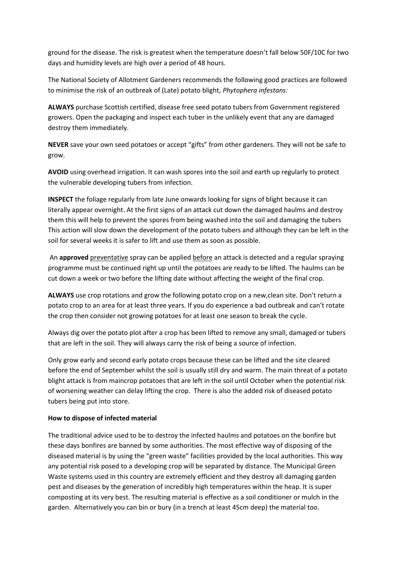ground for the disease. The risk is greatest when the temperature doesn't fall below 50F/10C for two days and humidity levels are high over a period of 48 hours.

The National Society of Allotment Gardeners recommends the following good practices are followed to minimise the risk of an outbreak of (Late) potato blight, *Phytophera infestans:*

**ALWAYS** purchase Scottish certified, disease free seed potato tubers from Government registered growers. Open the packaging and inspect each tuber in the unlikely event that any are damaged destroy them immediately.

**NEVER** save your own seed potatoes or accept "gifts" from other gardeners. They will not be safe to grow.

**AVOID** using overhead irrigation. It can wash spores into the soil and earth up regularly to protect the vulnerable developing tubers from infection.

**INSPECT** the foliage regularly from late June onwards looking for signs of blight because it can literally appear overnight. At the first signs of an attack cut down the damaged haulms and destroy them this will help to prevent the spores from being washed into the soil and damaging the tubers This action will slow down the development of the potato tubers and although they can be left in the soil for several weeks it is safer to lift and use them as soon as possible.

An **approved** preventative spray can be applied before an attack is detected and a regular spraying programme must be continued right up until the potatoes are ready to be lifted. The haulms can be cut down a week or two before the lifting date without affecting the weight of the final crop.

**ALWAYS** use crop rotations and grow the following potato crop on a new,clean site. Don't return a potato crop to an area for at least three years. If you do experience a bad outbreak and can't rotate the crop then consider not growing potatoes for at least one season to break the cycle.

Always dig over the potato plot after a crop has been lifted to remove any small, damaged or tubers that are left in the soil. They will always carry the risk of being a source of infection.

Only grow early and second early potato crops because these can be lifted and the site cleared before the end of September whilst the soil is usually still dry and warm. The main threat of a potato blight attack is from maincrop potatoes that are left in the soil until October when the potential risk of worsening weather can delay lifting the crop. There is also the added risk of diseased potato tubers being put into store.

# **How to dispose of infected material**

The traditional advice used to be to destroy the infected haulms and potatoes on the bonfire but these days bonfires are banned by some authorities. The most effective way of disposing of the diseased material is by using the "green waste" facilities provided by the local authorities. This way any potential risk posed to a developing crop will be separated by distance. The Municipal Green Waste systems used in this country are extremely efficient and they destroy all damaging garden pest and diseases by the generation of incredibly high temperatures within the heap. It is super composting at its very best. The resulting material is effective as a soil conditioner or mulch in the garden. Alternatively you can bin or bury (in a trench at least 45cm deep) the material too.